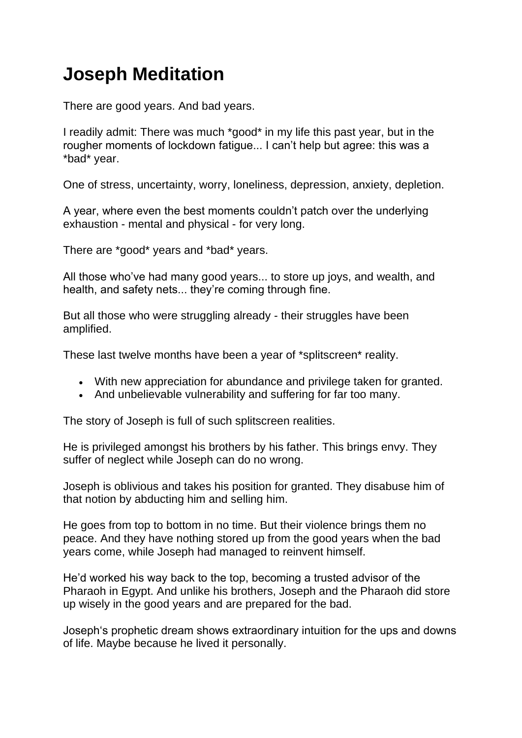## **Joseph Meditation**

There are good years. And bad years.

I readily admit: There was much \*good\* in my life this past year, but in the rougher moments of lockdown fatigue... I can't help but agree: this was a \*bad\* year.

One of stress, uncertainty, worry, loneliness, depression, anxiety, depletion.

A year, where even the best moments couldn't patch over the underlying exhaustion - mental and physical - for very long.

There are \*good\* years and \*bad\* years.

All those who've had many good years... to store up joys, and wealth, and health, and safety nets... they're coming through fine.

But all those who were struggling already - their struggles have been amplified.

These last twelve months have been a year of \*splitscreen\* reality.

- With new appreciation for abundance and privilege taken for granted.
- And unbelievable vulnerability and suffering for far too many.

The story of Joseph is full of such splitscreen realities.

He is privileged amongst his brothers by his father. This brings envy. They suffer of neglect while Joseph can do no wrong.

Joseph is oblivious and takes his position for granted. They disabuse him of that notion by abducting him and selling him.

He goes from top to bottom in no time. But their violence brings them no peace. And they have nothing stored up from the good years when the bad years come, while Joseph had managed to reinvent himself.

He'd worked his way back to the top, becoming a trusted advisor of the Pharaoh in Egypt. And unlike his brothers, Joseph and the Pharaoh did store up wisely in the good years and are prepared for the bad.

Joseph's prophetic dream shows extraordinary intuition for the ups and downs of life. Maybe because he lived it personally.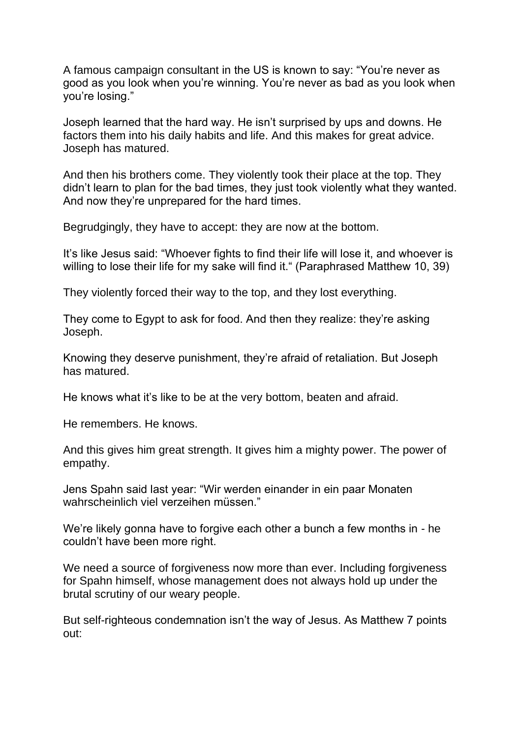A famous campaign consultant in the US is known to say: "You're never as good as you look when you're winning. You're never as bad as you look when you're losing."

Joseph learned that the hard way. He isn't surprised by ups and downs. He factors them into his daily habits and life. And this makes for great advice. Joseph has matured.

And then his brothers come. They violently took their place at the top. They didn't learn to plan for the bad times, they just took violently what they wanted. And now they're unprepared for the hard times.

Begrudgingly, they have to accept: they are now at the bottom.

It's like Jesus said: "Whoever fights to find their life will lose it, and whoever is willing to lose their life for my sake will find it." (Paraphrased Matthew 10, 39)

They violently forced their way to the top, and they lost everything.

They come to Egypt to ask for food. And then they realize: they're asking Joseph.

Knowing they deserve punishment, they're afraid of retaliation. But Joseph has matured.

He knows what it's like to be at the very bottom, beaten and afraid.

He remembers. He knows.

And this gives him great strength. It gives him a mighty power. The power of empathy.

Jens Spahn said last year: "Wir werden einander in ein paar Monaten wahrscheinlich viel verzeihen müssen."

We're likely gonna have to forgive each other a bunch a few months in - he couldn't have been more right.

We need a source of forgiveness now more than ever. Including forgiveness for Spahn himself, whose management does not always hold up under the brutal scrutiny of our weary people.

But self-righteous condemnation isn't the way of Jesus. As Matthew 7 points out: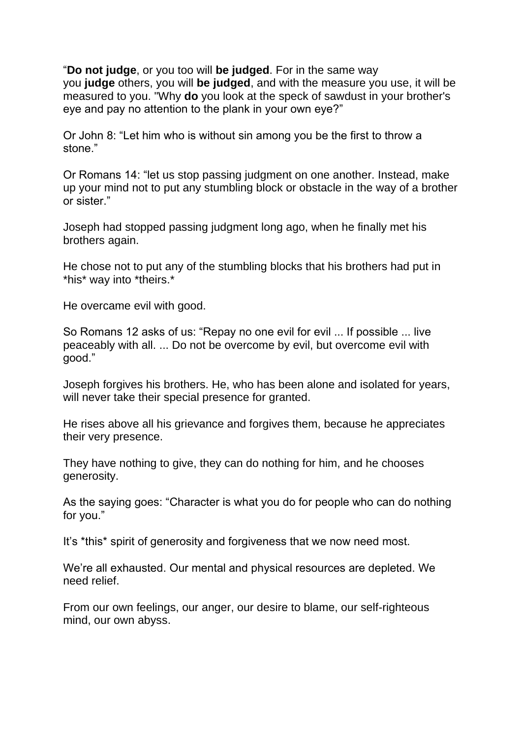"**Do not judge**, or you too will **be judged**. For in the same way you **judge** others, you will **be judged**, and with the measure you use, it will be measured to you. "Why **do** you look at the speck of sawdust in your brother's eye and pay no attention to the plank in your own eye?"

Or John 8: "Let him who is without sin among you be the first to throw a stone."

Or Romans 14: "let us stop passing judgment on one another. Instead, make up your mind not to put any stumbling block or obstacle in the way of a brother or sister."

Joseph had stopped passing judgment long ago, when he finally met his brothers again.

He chose not to put any of the stumbling blocks that his brothers had put in \*his\* way into \*theirs.\*

He overcame evil with good.

So Romans 12 asks of us: "Repay no one evil for evil ... If possible ... live peaceably with all. ... Do not be overcome by evil, but overcome evil with good."

Joseph forgives his brothers. He, who has been alone and isolated for years, will never take their special presence for granted.

He rises above all his grievance and forgives them, because he appreciates their very presence.

They have nothing to give, they can do nothing for him, and he chooses generosity.

As the saying goes: "Character is what you do for people who can do nothing for you."

It's \*this\* spirit of generosity and forgiveness that we now need most.

We're all exhausted. Our mental and physical resources are depleted. We need relief.

From our own feelings, our anger, our desire to blame, our self-righteous mind, our own abyss.